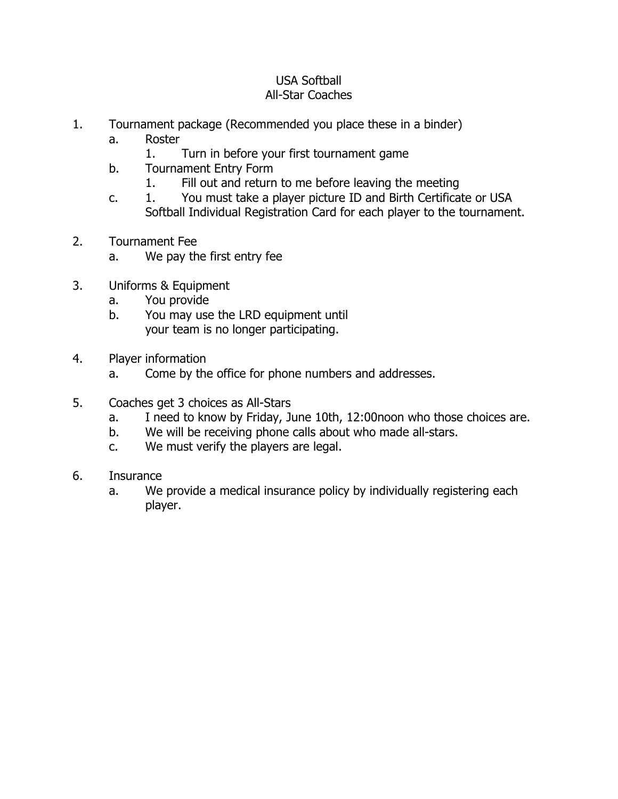## USA Softball All-Star Coaches

- 1. Tournament package (Recommended you place these in a binder)
	- a. Roster
		- 1. Turn in before your first tournament game
	- b. Tournament Entry Form
		- 1. Fill out and return to me before leaving the meeting
	- c. 1. You must take a player picture ID and Birth Certificate or USA Softball Individual Registration Card for each player to the tournament.
- 2. Tournament Fee
	- a. We pay the first entry fee
- 3. Uniforms & Equipment
	- a. You provide
	- b. You may use the LRD equipment until your team is no longer participating.
- 4. Player information
	- a. Come by the office for phone numbers and addresses.
- 5. Coaches get 3 choices as All-Stars
	- a. I need to know by Friday, June 10th, 12:00noon who those choices are.
	- b. We will be receiving phone calls about who made all-stars.
	- c. We must verify the players are legal.
- 6. Insurance
	- a. We provide a medical insurance policy by individually registering each player.